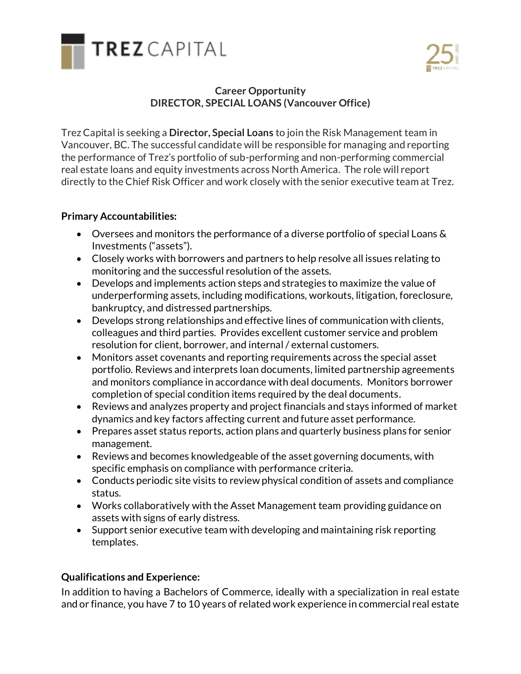



## **Career Opportunity DIRECTOR, SPECIAL LOANS (Vancouver Office)**

Trez Capital is seeking a **Director, Special Loans** to join the Risk Management team in Vancouver, BC. The successful candidate will be responsible for managing and reporting the performance of Trez's portfolio of sub-performing and non-performing commercial real estate loans and equity investments across North America. The role will report directly to the Chief Risk Officer and work closely with the senior executive team at Trez.

## **Primary Accountabilities:**

- Oversees and monitors the performance of a diverse portfolio of special Loans & Investments ("assets").
- Closely works with borrowers and partners to help resolve all issues relating to monitoring and the successful resolution of the assets.
- Develops and implements action steps and strategies to maximize the value of underperforming assets, including modifications, workouts, litigation, foreclosure, bankruptcy, and distressed partnerships.
- Develops strong relationships and effective lines of communication with clients, colleagues and third parties. Provides excellent customer service and problem resolution for client, borrower, and internal / external customers.
- Monitors asset covenants and reporting requirements across the special asset portfolio. Reviews and interprets loan documents, limited partnership agreements and monitors compliance in accordance with deal documents. Monitors borrower completion of special condition items required by the deal documents.
- Reviews and analyzes property and project financials and stays informed of market dynamics and key factors affecting current and future asset performance.
- Prepares asset status reports, action plans and quarterly business plans for senior management.
- Reviews and becomes knowledgeable of the asset governing documents, with specific emphasis on compliance with performance criteria.
- Conducts periodic site visits to review physical condition of assets and compliance status.
- Works collaboratively with the Asset Management team providing guidance on assets with signs of early distress.
- Support senior executive team with developing and maintaining risk reporting templates.

## **Qualifications and Experience:**

In addition to having a Bachelors of Commerce, ideally with a specialization in real estate and or finance, you have 7 to 10 years of related work experience in commercial real estate